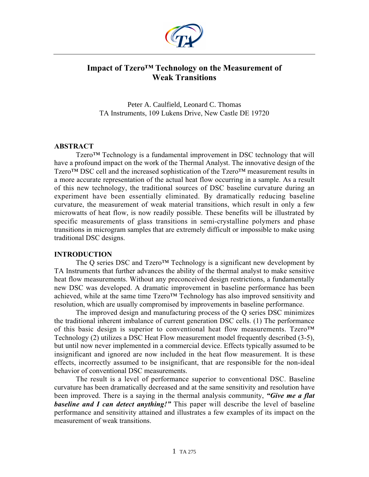

# **Impact of Tzero™ Technology on the Measurement of Weak Transitions**

Peter A. Caulfield, Leonard C. Thomas TA Instruments, 109 Lukens Drive, New Castle DE 19720

# **ABSTRACT**

Tzero™ Technology is a fundamental improvement in DSC technology that will have a profound impact on the work of the Thermal Analyst. The innovative design of the Tzero<sup>™</sup> DSC cell and the increased sophistication of the Tzero<sup>™</sup> measurement results in a more accurate representation of the actual heat flow occurring in a sample. As a result of this new technology, the traditional sources of DSC baseline curvature during an experiment have been essentially eliminated. By dramatically reducing baseline curvature, the measurement of weak material transitions, which result in only a few microwatts of heat flow, is now readily possible. These benefits will be illustrated by specific measurements of glass transitions in semi-crystalline polymers and phase transitions in microgram samples that are extremely difficult or impossible to make using traditional DSC designs.

# **INTRODUCTION**

The Q series DSC and Tzero<sup>™</sup> Technology is a significant new development by TA Instruments that further advances the ability of the thermal analyst to make sensitive heat flow measurements. Without any preconceived design restrictions, a fundamentally new DSC was developed. A dramatic improvement in baseline performance has been achieved, while at the same time Tzero™ Technology has also improved sensitivity and resolution, which are usually compromised by improvements in baseline performance.

The improved design and manufacturing process of the Q series DSC minimizes the traditional inherent imbalance of current generation DSC cells. (1) The performance of this basic design is superior to conventional heat flow measurements. Tzero™ Technology (2) utilizes a DSC Heat Flow measurement model frequently described (3-5), but until now never implemented in a commercial device. Effects typically assumed to be insignificant and ignored are now included in the heat flow measurement. It is these effects, incorrectly assumed to be insignificant, that are responsible for the non-ideal behavior of conventional DSC measurements.

The result is a level of performance superior to conventional DSC. Baseline curvature has been dramatically decreased and at the same sensitivity and resolution have been improved. There is a saying in the thermal analysis community, *"Give me a flat baseline and I can detect anything!"* This paper will describe the level of baseline performance and sensitivity attained and illustrates a few examples of its impact on the measurement of weak transitions.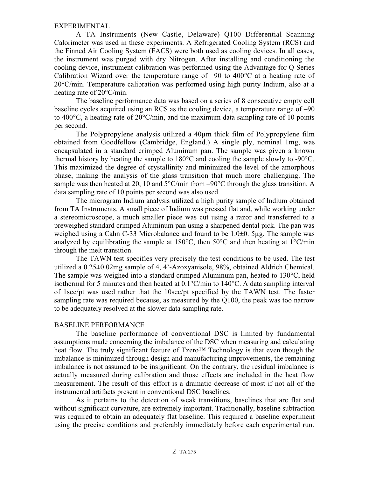## EXPERIMENTAL

A TA Instruments (New Castle, Delaware) Q100 Differential Scanning Calorimeter was used in these experiments. A Refrigerated Cooling System (RCS) and the Finned Air Cooling System (FACS) were both used as cooling devices. In all cases, the instrument was purged with dry Nitrogen. After installing and conditioning the cooling device, instrument calibration was performed using the Advantage for Q Series Calibration Wizard over the temperature range of  $-90$  to  $400^{\circ}$ C at a heating rate of 20°C/min. Temperature calibration was performed using high purity Indium, also at a heating rate of 20°C/min.

The baseline performance data was based on a series of 8 consecutive empty cell baseline cycles acquired using an RCS as the cooling device, a temperature range of –90 to 400°C, a heating rate of 20°C/min, and the maximum data sampling rate of 10 points per second.

The Polypropylene analysis utilized a 40µm thick film of Polypropylene film obtained from Goodfellow (Cambridge, England.) A single ply, nominal 1mg, was encapsulated in a standard crimped Aluminum pan. The sample was given a known thermal history by heating the sample to 180°C and cooling the sample slowly to -90°C. This maximized the degree of crystallinity and minimized the level of the amorphous phase, making the analysis of the glass transition that much more challenging. The sample was then heated at 20, 10 and  $5^{\circ}$ C/min from -90 $^{\circ}$ C through the glass transition. A data sampling rate of 10 points per second was also used.

The microgram Indium analysis utilized a high purity sample of Indium obtained from TA Instruments. A small piece of Indium was pressed flat and, while working under a stereomicroscope, a much smaller piece was cut using a razor and transferred to a preweighed standard crimped Aluminum pan using a sharpened dental pick. The pan was weighed using a Cahn C-33 Microbalance and found to be  $1.0\pm 0.5\mu$  m. The sample was analyzed by equilibrating the sample at  $180^{\circ}$ C, then  $50^{\circ}$ C and then heating at  $1^{\circ}$ C/min through the melt transition.

The TAWN test specifies very precisely the test conditions to be used. The test utilized a 0.25±0.02mg sample of 4, 4'-Azoxyanisole, 98%, obtained Aldrich Chemical. The sample was weighed into a standard crimped Aluminum pan, heated to  $130^{\circ}$ C, held isothermal for 5 minutes and then heated at  $0.1^{\circ}$ C/min to  $140^{\circ}$ C. A data sampling interval of 1sec/pt was used rather that the 10sec/pt specified by the TAWN test. The faster sampling rate was required because, as measured by the Q100, the peak was too narrow to be adequately resolved at the slower data sampling rate.

## BASELINE PERFORMANCE

The baseline performance of conventional DSC is limited by fundamental assumptions made concerning the imbalance of the DSC when measuring and calculating heat flow. The truly significant feature of Tzero<sup>™</sup> Technology is that even though the imbalance is minimized through design and manufacturing improvements, the remaining imbalance is not assumed to be insignificant. On the contrary, the residual imbalance is actually measured during calibration and those effects are included in the heat flow measurement. The result of this effort is a dramatic decrease of most if not all of the instrumental artifacts present in conventional DSC baselines.

As it pertains to the detection of weak transitions, baselines that are flat and without significant curvature, are extremely important. Traditionally, baseline subtraction was required to obtain an adequately flat baseline. This required a baseline experiment using the precise conditions and preferably immediately before each experimental run.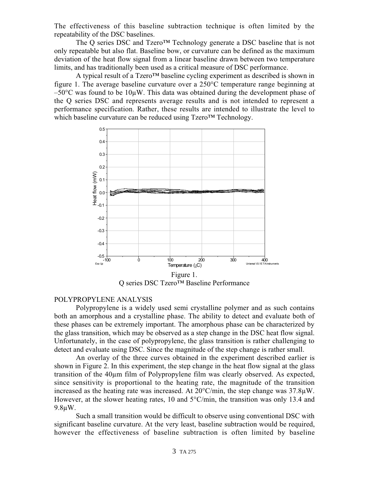The effectiveness of this baseline subtraction technique is often limited by the repeatability of the DSC baselines.

The Q series DSC and Tzero™ Technology generate a DSC baseline that is not only repeatable but also flat. Baseline bow, or curvature can be defined as the maximum deviation of the heat flow signal from a linear baseline drawn between two temperature limits, and has traditionally been used as a critical measure of DSC performance.

A typical result of a Tzero™ baseline cycling experiment as described is shown in figure 1. The average baseline curvature over a 250°C temperature range beginning at  $-50^{\circ}$ C was found to be 10µW. This data was obtained during the development phase of the Q series DSC and represents average results and is not intended to represent a performance specification. Rather, these results are intended to illustrate the level to which baseline curvature can be reduced using Tzero™ Technology.



Q series DSC Tzero™ Baseline Performance

## POLYPROPYLENE ANALYSIS

Polypropylene is a widely used semi crystalline polymer and as such contains both an amorphous and a crystalline phase. The ability to detect and evaluate both of these phases can be extremely important. The amorphous phase can be characterized by the glass transition, which may be observed as a step change in the DSC heat flow signal. Unfortunately, in the case of polypropylene, the glass transition is rather challenging to detect and evaluate using DSC. Since the magnitude of the step change is rather small.

An overlay of the three curves obtained in the experiment described earlier is shown in Figure 2. In this experiment, the step change in the heat flow signal at the glass transition of the 40µm film of Polypropylene film was clearly observed. As expected, since sensitivity is proportional to the heating rate, the magnitude of the transition increased as the heating rate was increased. At 20°C/min, the step change was 37.8µW. However, at the slower heating rates, 10 and  $5^{\circ}$ C/min, the transition was only 13.4 and 9.8µW.

Such a small transition would be difficult to observe using conventional DSC with significant baseline curvature. At the very least, baseline subtraction would be required, however the effectiveness of baseline subtraction is often limited by baseline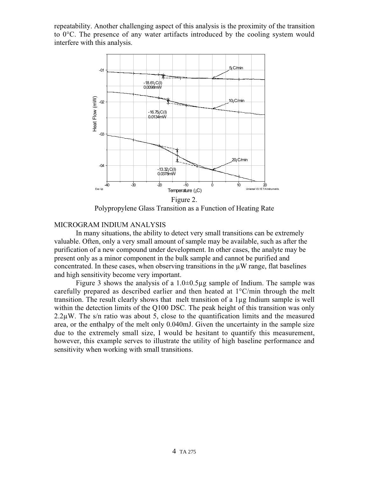repeatability. Another challenging aspect of this analysis is the proximity of the transition to 0°C. The presence of any water artifacts introduced by the cooling system would interfere with this analysis.



Polypropylene Glass Transition as a Function of Heating Rate

# MICROGRAM INDIUM ANALYSIS

In many situations, the ability to detect very small transitions can be extremely valuable. Often, only a very small amount of sample may be available, such as after the purification of a new compound under development. In other cases, the analyte may be present only as a minor component in the bulk sample and cannot be purified and concentrated. In these cases, when observing transitions in the  $\mu$ W range, flat baselines and high sensitivity become very important.

Figure 3 shows the analysis of a  $1.0 \pm 0.5 \mu$ g sample of Indium. The sample was carefully prepared as described earlier and then heated at  $1^{\circ}$ C/min through the melt transition. The result clearly shows that melt transition of a 1µg Indium sample is well within the detection limits of the Q100 DSC. The peak height of this transition was only 2.2µW. The s/n ratio was about 5, close to the quantification limits and the measured area, or the enthalpy of the melt only 0.040mJ. Given the uncertainty in the sample size due to the extremely small size, I would be hesitant to quantify this measurement, however, this example serves to illustrate the utility of high baseline performance and sensitivity when working with small transitions.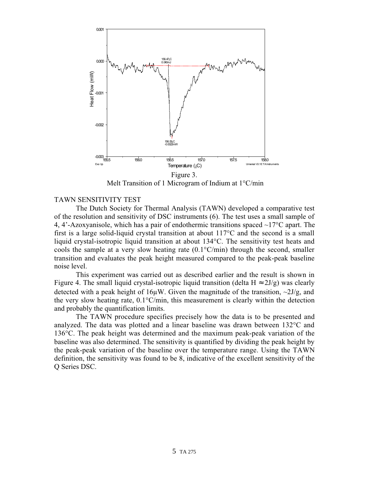

Melt Transition of 1 Microgram of Indium at 1°C/min

## TAWN SENSITIVITY TEST

The Dutch Society for Thermal Analysis (TAWN) developed a comparative test of the resolution and sensitivity of DSC instruments (6). The test uses a small sample of 4, 4'-Azoxyanisole, which has a pair of endothermic transitions spaced  $\sim$ 17 $\degree$ C apart. The first is a large solid-liquid crystal transition at about 117°C and the second is a small liquid crystal-isotropic liquid transition at about 134°C. The sensitivity test heats and cools the sample at a very slow heating rate  $(0.1^{\circ}C/\text{min})$  through the second, smaller transition and evaluates the peak height measured compared to the peak-peak baseline noise level.

This experiment was carried out as described earlier and the result is shown in Figure 4. The small liquid crystal-isotropic liquid transition (delta  $H \approx 2J/g$ ) was clearly detected with a peak height of 16 $\mu$ W. Given the magnitude of the transition,  $\sim$ 2J/g, and the very slow heating rate, 0.1°C/min, this measurement is clearly within the detection and probably the quantification limits.

The TAWN procedure specifies precisely how the data is to be presented and analyzed. The data was plotted and a linear baseline was drawn between 132°C and 136°C. The peak height was determined and the maximum peak-peak variation of the baseline was also determined. The sensitivity is quantified by dividing the peak height by the peak-peak variation of the baseline over the temperature range. Using the TAWN definition, the sensitivity was found to be 8, indicative of the excellent sensitivity of the Q Series DSC.